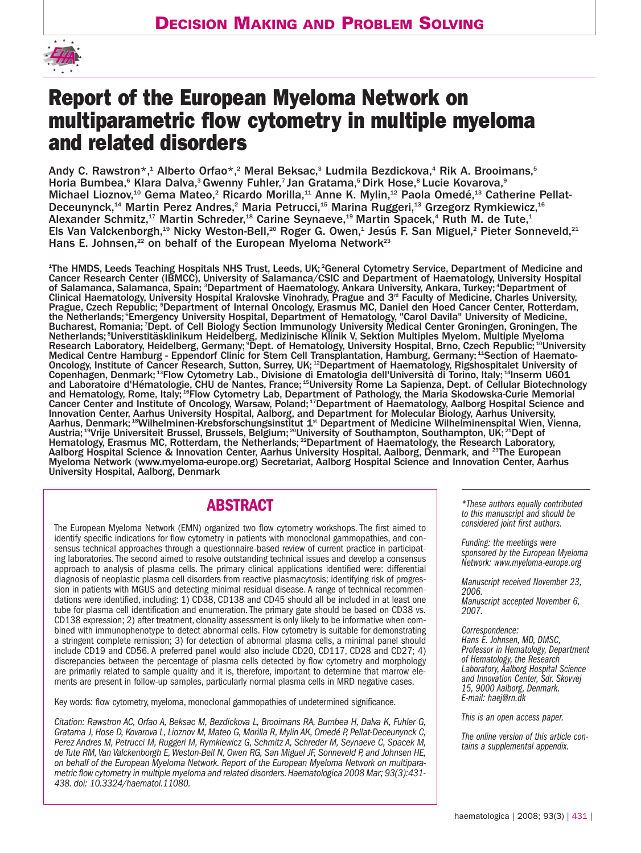

# **Report of the European Myeloma Network on multiparametric flow cytometry in multiple myeloma and related disorders**

Andy C. Rawstron\*,<sup>1</sup> Alberto Orfao\*,<sup>2</sup> Meral Beksac,<sup>3</sup> Ludmila Bezdickova,<sup>4</sup> Rik A. Brooimans,<sup>5</sup> Horia Bumbea,<sup>6</sup> Klara Dalva,<sup>3</sup> Gwenny Fuhler,<sup>7</sup> Jan Gratama,<sup>5</sup> Dirk Hose,<sup>8</sup> Lucie Kovarova,<sup>9</sup> Michael Lioznov,<sup>10</sup> Gema Mateo,<sup>2</sup> Ricardo Morilla,<sup>11</sup> Anne K. Mylin,<sup>12</sup> Paola Omedé,<sup>13</sup> Catherine Pellat-Deceunynck,14 Martin Perez Andres,2 Maria Petrucci,15 Marina Ruggeri,13 Grzegorz Rymkiewicz,16 Alexander Schmitz,<sup>17</sup> Martin Schreder,<sup>18</sup> Carine Seynaeve,<sup>19</sup> Martin Spacek,<sup>4</sup> Ruth M. de Tute,<sup>1</sup> Els Van Valckenborgh,<sup>19</sup> Nicky Weston-Bell,<sup>20</sup> Roger G. Owen,<sup>1</sup> Jesús F. San Miguel,<sup>2</sup> Pieter Sonneveld,<sup>21</sup> Hans E. Johnsen, $^{22}$  on behalf of the European Myeloma Network<sup>23</sup>

<sup>1</sup>The HMDS, Leeds Teaching Hospitals NHS Trust, Leeds, UK; <sup>2</sup>General Cytometry Service, Department of Medicine and Cancer Research Center (IBMCC), University of Salamanca/CSIC and Department of Haematology, University Hospital of Salamanca, Salamanca, Spain; <sup>3</sup>Department of Haematology, Ankara University, Ankara, Turkey; <sup>4</sup>Department of Clinical Haematology, University Hospital Kralovske Vinohrady, Prague and 3<sup>rd</sup> Faculty of Medicine, Charles University, Prague, Czech Republic; <sup>5</sup>Department of Internal Oncology, Erasmus MC, Daniel den Hoed Cancer Center, Rotterdam, the Netherlands; Emergency University Hospital, Department of Hematology, "Carol Davila" University of Medicine, Bucharest, Romania; *Dept. of Cell Biology Section Immunology University Medical Center Groningen*, Groningen, The Netherlands; <sup>8</sup> Universtitäsklinikum Heidelberg, Medizinische Klinik V, Sektion Multiples Myelom, Multiple Myeloma Research Laboratory, Heidelberg, Germany; <sup>9</sup>Dept. of Hematology, University Hospital, Brno, Czech Republic; <sup>10</sup>University Medical Centre Hamburg - Eppendorf Clinic for Stem Cell Transplantation, Hamburg, Germany; 11Section of Haemato-Oncology, Institute of Cancer Research, Sutton, Surrey, UK; 12Department of Haematology, Rigshospitalet University of Copenhagen, Denmark; 13Flow Cytometry Lab., Divisione di Ematologia dell'Università di Torino, Italy; 14Inserm U601 and Laboratoire d'Hématologie, CHU de Nantes, France; 15University Rome La Sapienza, Dept. of Cellular Biotechnology and Hematology, Rome, Italy; 16Flow Cytometry Lab, Department of Pathology, the Maria Skodowska-Curie Memorial Cancer Center and Institute of Oncology, Warsaw, Poland; 17Department of Haematology, Aalborg Hospital Science and Innovation Center, Aarhus University Hospital, Aalborg, and Department for Molecular Biology, Aarhus University, Aarhus, Denmark; 18Wilhelminen-Krebsforschungsinstitut 1.<sup>st</sup> Department of Medicine Wilhelminenspital Wien, Vienna, Austria; 19Vrije Universiteit Brussel, Brussels, Belgium; 20University of Southampton, Southampton, UK; 21Dept of Hematology, Erasmus MC, Rotterdam, the Netherlands; <sup>22</sup>Department of Haematology, the Research Laboratory, Aalborg Hospital Science & Innovation Center, Aarhus University Hospital, Aalborg, Denmark, and <sup>23</sup>The European Myeloma Network (www.myeloma-europe.org) Secretariat, Aalborg Hospital Science and Innovation Center, Aarhus University Hospital, Aalborg, Denmark

# **ABSTRACT**

The European Myeloma Network (EMN) organized two flow cytometry workshops. The first aimed to identify specific indications for flow cytometry in patients with monoclonal gammopathies, and consensus technical approaches through a questionnaire-based review of current practice in participating laboratories. The second aimed to resolve outstanding technical issues and develop a consensus approach to analysis of plasma cells. The primary clinical applications identified were: differential diagnosis of neoplastic plasma cell disorders from reactive plasmacytosis; identifying risk of progression in patients with MGUS and detecting minimal residual disease. A range of technical recommendations were identified, including: 1) CD38, CD138 and CD45 should all be included in at least one tube for plasma cell identification and enumeration. The primary gate should be based on CD38 vs. CD138 expression; 2) after treatment, clonality assessment is only likely to be informative when combined with immunophenotype to detect abnormal cells. Flow cytometry is suitable for demonstrating a stringent complete remission; 3) for detection of abnormal plasma cells, a minimal panel should include CD19 and CD56. A preferred panel would also include CD20, CD117, CD28 and CD27; 4) discrepancies between the percentage of plasma cells detected by flow cytometry and morphology are primarily related to sample quality and it is, therefore, important to determine that marrow elements are present in follow-up samples, particularly normal plasma cells in MRD negative cases.

Key words: flow cytometry, myeloma, monoclonal gammopathies of undetermined significance.

*Citation: Rawstron AC, Orfao A, Beksac M, Bezdickova L, Brooimans RA, Bumbea H, Dalva K, Fuhler G, Gratama J, Hose D, Kovarova L, Lioznov M, Mateo G, Morilla R, Mylin AK, Omedé P, Pellat-Deceunynck C, Perez Andres M, Petrucci M, Ruggeri M, Rymkiewicz G, Schmitz A, Schreder M, Seynaeve C, Spacek M, de Tute RM, Van Valckenborgh E, Weston-Bell N, Owen RG, San Miguel JF, Sonneveld P, and Johnsen HE, on behalf of the European Myeloma Network. Report of the European Myeloma Network on multiparametric flow cytometry in multiple myeloma and related disorders.Haematologica 2008 Mar; 93(3):431- 438. doi: 10.3324/haematol.11080.*

*\*These authors equally contributed to this manuscript and should be considered joint first authors.*

*Funding: the meetings were sponsored by the European Myeloma Network: www.myeloma-europe.org*

*Manuscript received November 23, 2006. Manuscript accepted November 6, 2007.*

*Correspondence: Hans E. Johnsen, MD, DMSC, Professor in Hematology, Department of Hematology, the Research Laboratory, Aalborg Hospital Science and Innovation Center, Sdr. Skovvej 15, 9000 Aalborg, Denmark. E-mail: haej@rn.dk*

*This is an open access paper.*

*The online version of this article contains a supplemental appendix.*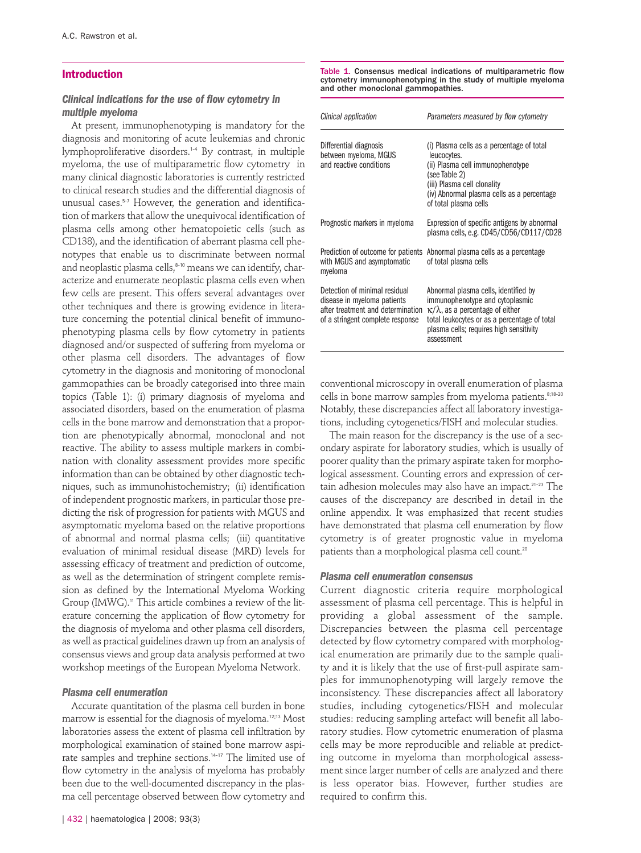# **Introduction**

#### *Clinical indications for the use of flow cytometry in multiple myeloma*

At present, immunophenotyping is mandatory for the diagnosis and monitoring of acute leukemias and chronic lymphoproliferative disorders.1-4 By contrast, in multiple myeloma, the use of multiparametric flow cytometry in many clinical diagnostic laboratories is currently restricted to clinical research studies and the differential diagnosis of unusual cases.<sup>5-7</sup> However, the generation and identification of markers that allow the unequivocal identification of plasma cells among other hematopoietic cells (such as CD138), and the identification of aberrant plasma cell phenotypes that enable us to discriminate between normal and neoplastic plasma cells,<sup>8-10</sup> means we can identify, characterize and enumerate neoplastic plasma cells even when few cells are present. This offers several advantages over other techniques and there is growing evidence in literature concerning the potential clinical benefit of immunophenotyping plasma cells by flow cytometry in patients diagnosed and/or suspected of suffering from myeloma or other plasma cell disorders. The advantages of flow cytometry in the diagnosis and monitoring of monoclonal gammopathies can be broadly categorised into three main topics (Table 1): (i) primary diagnosis of myeloma and associated disorders, based on the enumeration of plasma cells in the bone marrow and demonstration that a proportion are phenotypically abnormal, monoclonal and not reactive. The ability to assess multiple markers in combination with clonality assessment provides more specific information than can be obtained by other diagnostic techniques, such as immunohistochemistry; (ii) identification of independent prognostic markers, in particular those predicting the risk of progression for patients with MGUS and asymptomatic myeloma based on the relative proportions of abnormal and normal plasma cells; (iii) quantitative evaluation of minimal residual disease (MRD) levels for assessing efficacy of treatment and prediction of outcome, as well as the determination of stringent complete remission as defined by the International Myeloma Working Group (IMWG).<sup>11</sup> This article combines a review of the literature concerning the application of flow cytometry for the diagnosis of myeloma and other plasma cell disorders, as well as practical guidelines drawn up from an analysis of consensus views and group data analysis performed at two workshop meetings of the European Myeloma Network.

#### *Plasma cell enumeration*

Accurate quantitation of the plasma cell burden in bone marrow is essential for the diagnosis of myeloma.12;13 Most laboratories assess the extent of plasma cell infiltration by morphological examination of stained bone marrow aspirate samples and trephine sections.14-17 The limited use of flow cytometry in the analysis of myeloma has probably been due to the well-documented discrepancy in the plasma cell percentage observed between flow cytometry and

Table 1. Consensus medical indications of multiparametric flow cytometry immunophenotyping in the study of multiple myeloma and other monoclonal gammopathies.

| Clinical application                                                                                                                  | Parameters measured by flow cytometry                                                                                                                                                                                            |  |  |
|---------------------------------------------------------------------------------------------------------------------------------------|----------------------------------------------------------------------------------------------------------------------------------------------------------------------------------------------------------------------------------|--|--|
| Differential diagnosis<br>between myeloma, MGUS<br>and reactive conditions                                                            | (i) Plasma cells as a percentage of total<br>leucocytes.<br>(ii) Plasma cell immunophenotype<br>(see Table 2)<br>(iii) Plasma cell clonality<br>(iv) Abnormal plasma cells as a percentage<br>of total plasma cells              |  |  |
| Prognostic markers in myeloma                                                                                                         | Expression of specific antigens by abnormal<br>plasma cells, e.g. CD45/CD56/CD117/CD28                                                                                                                                           |  |  |
| with MGUS and asymptomatic<br>myeloma                                                                                                 | Prediction of outcome for patients Abnormal plasma cells as a percentage<br>of total plasma cells                                                                                                                                |  |  |
| Detection of minimal residual<br>disease in myeloma patients<br>after treatment and determination<br>of a stringent complete response | Abnormal plasma cells, identified by<br>immunophenotype and cytoplasmic<br>$\kappa/\lambda$ , as a percentage of either<br>total leukocytes or as a percentage of total<br>plasma cells; requires high sensitivity<br>assessment |  |  |

conventional microscopy in overall enumeration of plasma cells in bone marrow samples from myeloma patients.<sup>8;18-20</sup> Notably, these discrepancies affect all laboratory investigations, including cytogenetics/FISH and molecular studies.

The main reason for the discrepancy is the use of a secondary aspirate for laboratory studies, which is usually of poorer quality than the primary aspirate taken for morphological assessment. Counting errors and expression of certain adhesion molecules may also have an impact.<sup>21-23</sup> The causes of the discrepancy are described in detail in the online appendix. It was emphasized that recent studies have demonstrated that plasma cell enumeration by flow cytometry is of greater prognostic value in myeloma patients than a morphological plasma cell count.<sup>20</sup>

#### *Plasma cell enumeration consensus*

Current diagnostic criteria require morphological assessment of plasma cell percentage. This is helpful in providing a global assessment of the sample. Discrepancies between the plasma cell percentage detected by flow cytometry compared with morphological enumeration are primarily due to the sample quality and it is likely that the use of first-pull aspirate samples for immunophenotyping will largely remove the inconsistency. These discrepancies affect all laboratory studies, including cytogenetics/FISH and molecular studies: reducing sampling artefact will benefit all laboratory studies. Flow cytometric enumeration of plasma cells may be more reproducible and reliable at predicting outcome in myeloma than morphological assessment since larger number of cells are analyzed and there is less operator bias. However, further studies are required to confirm this.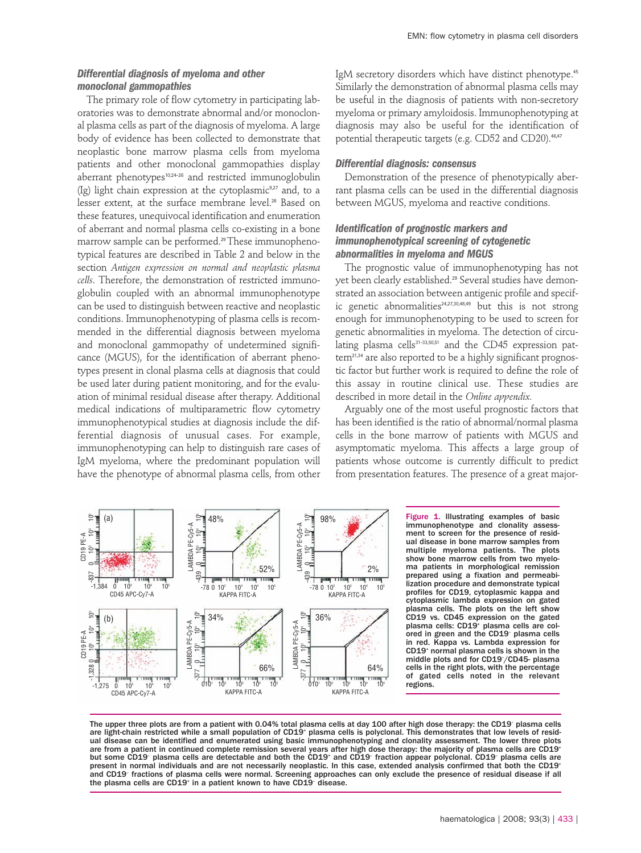# *Differential diagnosis of myeloma and other monoclonal gammopathies*

The primary role of flow cytometry in participating laboratories was to demonstrate abnormal and/or monoclonal plasma cells as part of the diagnosis of myeloma. A large body of evidence has been collected to demonstrate that neoplastic bone marrow plasma cells from myeloma patients and other monoclonal gammopathies display aberrant phenotypes10;24-26 and restricted immunoglobulin  $(Ig)$  light chain expression at the cytoplasmic<sup>9,27</sup> and, to a lesser extent, at the surface membrane level.<sup>28</sup> Based on these features, unequivocal identification and enumeration of aberrant and normal plasma cells co-existing in a bone marrow sample can be performed.<sup>29</sup> These immunophenotypical features are described in Table 2 and below in the section *Antigen expression on normal and neoplastic plasma cells*. Therefore, the demonstration of restricted immunoglobulin coupled with an abnormal immunophenotype can be used to distinguish between reactive and neoplastic conditions. Immunophenotyping of plasma cells is recommended in the differential diagnosis between myeloma and monoclonal gammopathy of undetermined significance (MGUS), for the identification of aberrant phenotypes present in clonal plasma cells at diagnosis that could be used later during patient monitoring, and for the evaluation of minimal residual disease after therapy. Additional medical indications of multiparametric flow cytometry immunophenotypical studies at diagnosis include the differential diagnosis of unusual cases. For example, immunophenotyping can help to distinguish rare cases of IgM myeloma, where the predominant population will have the phenotype of abnormal plasma cells, from other

IgM secretory disorders which have distinct phenotype.<sup>45</sup> Similarly the demonstration of abnormal plasma cells may be useful in the diagnosis of patients with non-secretory myeloma or primary amyloidosis. Immunophenotyping at diagnosis may also be useful for the identification of potential therapeutic targets (e.g. CD52 and CD20).<sup>46,47</sup>

#### *Differential diagnosis: consensus*

Demonstration of the presence of phenotypically aberrant plasma cells can be used in the differential diagnosis between MGUS, myeloma and reactive conditions.

# *Identification of prognostic markers and immunophenotypical screening of cytogenetic abnormalities in myeloma and MGUS*

The prognostic value of immunophenotyping has not yet been clearly established.<sup>29</sup> Several studies have demonstrated an association between antigenic profile and specific genetic abnormalities $24,27,30,48,49$  but this is not strong enough for immunophenotyping to be used to screen for genetic abnormalities in myeloma. The detection of circulating plasma cells<sup>31-33,50,51</sup> and the CD45 expression pattern<sup>21,34</sup> are also reported to be a highly significant prognostic factor but further work is required to define the role of this assay in routine clinical use. These studies are described in more detail in the *Online appendix.* 

Arguably one of the most useful prognostic factors that has been identified is the ratio of abnormal/normal plasma cells in the bone marrow of patients with MGUS and asymptomatic myeloma. This affects a large group of patients whose outcome is currently difficult to predict from presentation features. The presence of a great major-



Figure 1. Illustrating examples of basic immunophenotype and clonality assessment to screen for the presence of residual disease in bone marrow samples from multiple myeloma patients. The plots show bone marrow cells from two myeloma patients in morphological remission prepared using a fixation and permeabi-lization procedure and demonstrate typical profiles for CD19, cytoplasmic kappa and cytoplasmic lambda expression on gated plasma cells. The plots on the left show CD19 vs. CD45 expression on the gated plasma cells: CD19<sup>+</sup> plasma cells are colored in green and the CD19– plasma cells in red. Kappa vs. Lambda expression for CD19+ normal plasma cells is shown in the middle plots and for CD19– /CD45- plasma cells in the right plots, with the percentage of gated cells noted in the relevant regions.

The upper three plots are from a patient with 0.04% total plasma cells at day 100 after high dose therapy: the CD19– plasma cells are light-chain restricted while a small population of CD19<sup>.</sup> plasma cells is polyclonal. This demonstrates that low levels of resid<br>ual disease can be identified and enumerated using basic immunophenotyping and clonality are from a patient in continued complete remission several years after high dose therapy: the majority of plasma cells are CD19+ but some CD19<sup>-</sup> plasma cells are detectable and both the CD19<sup>-</sup> and CD19<sup>-</sup> fraction appear polyclonal. CD19<sup>-</sup> plasma cells are present in normal individuals and are not necessarily neoplastic. In this case, extended analysis confirmed that both the CD19+ and CD19– fractions of plasma cells were normal. Screening approaches can only exclude the presence of residual disease if all the plasma cells are CD19+ in a patient known to have CD19– disease.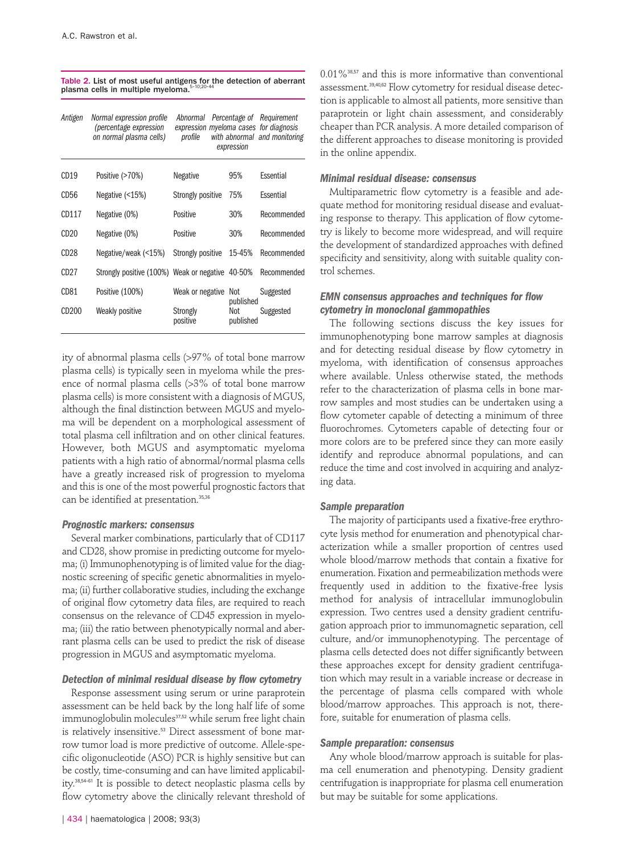| Table 2. List of most useful antigens for the detection of aberrant |  |
|---------------------------------------------------------------------|--|
| plasma cells in multiple myeloma. <sup>5-10;20-44</sup>             |  |

| Antigen           | Normal expression profile<br>(percentage expression<br>on normal plasma cells) | Abnormal Percentage of Requirement<br>expression myeloma cases for diagnosis<br>profile | expression                    | with abnormal and monitoring |
|-------------------|--------------------------------------------------------------------------------|-----------------------------------------------------------------------------------------|-------------------------------|------------------------------|
| CD19              | Positive (>70%)                                                                | <b>Negative</b>                                                                         | 95%                           | Essential                    |
| CD56              | Negative $($ < 15%)                                                            | Strongly positive                                                                       | 75%                           | Essential                    |
| CD117             | Negative (0%)                                                                  | Positive                                                                                | 30%                           | Recommended                  |
| CD20              | Negative (0%)                                                                  | Positive                                                                                | 30%                           | Recommended                  |
| CD28              | Negative/weak (<15%)                                                           | Strongly positive                                                                       | 15-45%                        | Recommended                  |
| CD <sub>27</sub>  | Strongly positive (100%) Weak or negative 40-50%                               |                                                                                         |                               | Recommended                  |
| CD <sub>81</sub>  | Positive (100%)                                                                | Weak or negative                                                                        | Not                           | Suggested                    |
| CD <sub>200</sub> | Weakly positive                                                                | Strongly<br>positive                                                                    | published<br>Not<br>published | Suggested                    |

ity of abnormal plasma cells (>97% of total bone marrow plasma cells) is typically seen in myeloma while the presence of normal plasma cells (>3% of total bone marrow plasma cells) is more consistent with a diagnosis of MGUS, although the final distinction between MGUS and myeloma will be dependent on a morphological assessment of total plasma cell infiltration and on other clinical features. However, both MGUS and asymptomatic myeloma patients with a high ratio of abnormal/normal plasma cells have a greatly increased risk of progression to myeloma and this is one of the most powerful prognostic factors that can be identified at presentation.<sup>35,36</sup>

#### *Prognostic markers: consensus*

Several marker combinations, particularly that of CD117 and CD28, show promise in predicting outcome for myeloma; (i) Immunophenotyping is of limited value for the diagnostic screening of specific genetic abnormalities in myeloma; (ii) further collaborative studies, including the exchange of original flow cytometry data files, are required to reach consensus on the relevance of CD45 expression in myeloma; (iii) the ratio between phenotypically normal and aberrant plasma cells can be used to predict the risk of disease progression in MGUS and asymptomatic myeloma.

#### *Detection of minimal residual disease by flow cytometry*

Response assessment using serum or urine paraprotein assessment can be held back by the long half life of some immunoglobulin molecules<sup>37,52</sup> while serum free light chain is relatively insensitive.<sup>53</sup> Direct assessment of bone marrow tumor load is more predictive of outcome. Allele-specific oligonucleotide (ASO) PCR is highly sensitive but can be costly, time-consuming and can have limited applicability.38,54-61 It is possible to detect neoplastic plasma cells by flow cytometry above the clinically relevant threshold of

 $0.01\%$ <sup>38,57</sup> and this is more informative than conventional assessment.39,40,62 Flow cytometry for residual disease detection is applicable to almost all patients, more sensitive than paraprotein or light chain assessment, and considerably cheaper than PCR analysis. A more detailed comparison of the different approaches to disease monitoring is provided in the online appendix.

#### *Minimal residual disease: consensus*

Multiparametric flow cytometry is a feasible and adequate method for monitoring residual disease and evaluating response to therapy. This application of flow cytometry is likely to become more widespread, and will require the development of standardized approaches with defined specificity and sensitivity, along with suitable quality control schemes.

# *EMN consensus approaches and techniques for flow cytometry in monoclonal gammopathies*

The following sections discuss the key issues for immunophenotyping bone marrow samples at diagnosis and for detecting residual disease by flow cytometry in myeloma, with identification of consensus approaches where available. Unless otherwise stated, the methods refer to the characterization of plasma cells in bone marrow samples and most studies can be undertaken using a flow cytometer capable of detecting a minimum of three fluorochromes. Cytometers capable of detecting four or more colors are to be prefered since they can more easily identify and reproduce abnormal populations, and can reduce the time and cost involved in acquiring and analyzing data.

#### *Sample preparation*

The majority of participants used a fixative-free erythrocyte lysis method for enumeration and phenotypical characterization while a smaller proportion of centres used whole blood/marrow methods that contain a fixative for enumeration. Fixation and permeabilization methods were frequently used in addition to the fixative-free lysis method for analysis of intracellular immunoglobulin expression. Two centres used a density gradient centrifugation approach prior to immunomagnetic separation, cell culture, and/or immunophenotyping. The percentage of plasma cells detected does not differ significantly between these approaches except for density gradient centrifugation which may result in a variable increase or decrease in the percentage of plasma cells compared with whole blood/marrow approaches. This approach is not, therefore, suitable for enumeration of plasma cells.

# *Sample preparation: consensus*

Any whole blood/marrow approach is suitable for plasma cell enumeration and phenotyping. Density gradient centrifugation is inappropriate for plasma cell enumeration but may be suitable for some applications.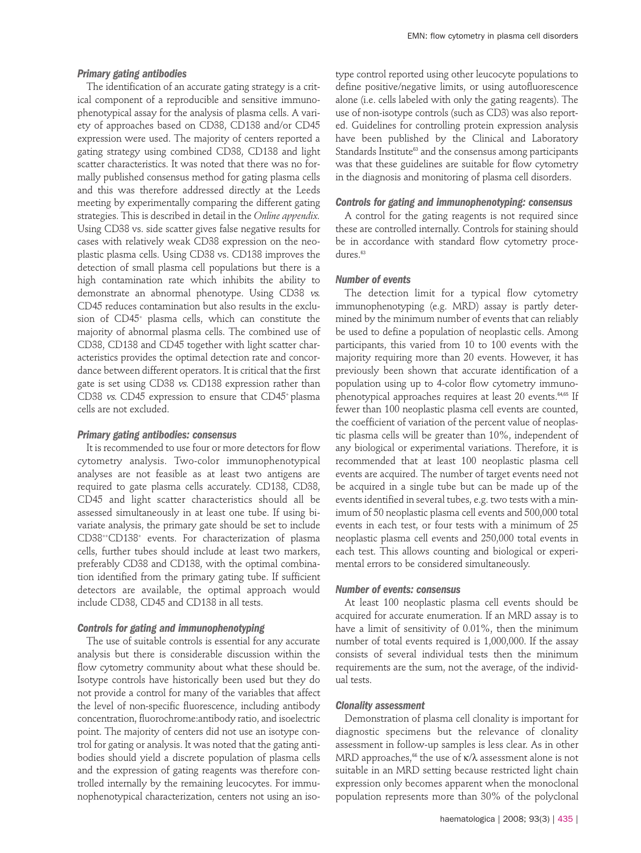#### *Primary gating antibodies*

The identification of an accurate gating strategy is a critical component of a reproducible and sensitive immunophenotypical assay for the analysis of plasma cells. A variety of approaches based on CD38, CD138 and/or CD45 expression were used. The majority of centers reported a gating strategy using combined CD38, CD138 and light scatter characteristics. It was noted that there was no formally published consensus method for gating plasma cells and this was therefore addressed directly at the Leeds meeting by experimentally comparing the different gating strategies. This is described in detail in the *Online appendix.* Using CD38 vs. side scatter gives false negative results for cases with relatively weak CD38 expression on the neoplastic plasma cells. Using CD38 vs. CD138 improves the detection of small plasma cell populations but there is a high contamination rate which inhibits the ability to demonstrate an abnormal phenotype. Using CD38 vs. CD45 reduces contamination but also results in the exclusion of CD45+ plasma cells, which can constitute the majority of abnormal plasma cells. The combined use of CD38, CD138 and CD45 together with light scatter characteristics provides the optimal detection rate and concordance between different operators. It is critical that the first gate is set using CD38 vs. CD138 expression rather than CD38 vs. CD45 expression to ensure that CD45+ plasma cells are not excluded.

#### *Primary gating antibodies: consensus*

It is recommended to use four or more detectors for flow cytometry analysis. Two-color immunophenotypical analyses are not feasible as at least two antigens are required to gate plasma cells accurately. CD138, CD38, CD45 and light scatter characteristics should all be assessed simultaneously in at least one tube. If using bivariate analysis, the primary gate should be set to include CD38++CD138+ events. For characterization of plasma cells, further tubes should include at least two markers, preferably CD38 and CD138, with the optimal combination identified from the primary gating tube. If sufficient detectors are available, the optimal approach would include CD38, CD45 and CD138 in all tests.

#### *Controls for gating and immunophenotyping*

The use of suitable controls is essential for any accurate analysis but there is considerable discussion within the flow cytometry community about what these should be. Isotype controls have historically been used but they do not provide a control for many of the variables that affect the level of non-specific fluorescence, including antibody concentration, fluorochrome:antibody ratio, and isoelectric point. The majority of centers did not use an isotype control for gating or analysis. It was noted that the gating antibodies should yield a discrete population of plasma cells and the expression of gating reagents was therefore controlled internally by the remaining leucocytes. For immunophenotypical characterization, centers not using an isotype control reported using other leucocyte populations to define positive/negative limits, or using autofluorescence alone (i.e. cells labeled with only the gating reagents). The use of non-isotype controls (such as CD3) was also reported. Guidelines for controlling protein expression analysis have been published by the Clinical and Laboratory Standards Institute<sup>63</sup> and the consensus among participants was that these guidelines are suitable for flow cytometry in the diagnosis and monitoring of plasma cell disorders.

# *Controls for gating and immunophenotyping: consensus*

A control for the gating reagents is not required since these are controlled internally. Controls for staining should be in accordance with standard flow cytometry procedures.<sup>63</sup>

#### *Number of events*

The detection limit for a typical flow cytometry immunophenotyping (e.g. MRD) assay is partly determined by the minimum number of events that can reliably be used to define a population of neoplastic cells. Among participants, this varied from 10 to 100 events with the majority requiring more than 20 events. However, it has previously been shown that accurate identification of a population using up to 4-color flow cytometry immunophenotypical approaches requires at least 20 events.<sup>64,65</sup> If fewer than 100 neoplastic plasma cell events are counted, the coefficient of variation of the percent value of neoplastic plasma cells will be greater than 10%, independent of any biological or experimental variations. Therefore, it is recommended that at least 100 neoplastic plasma cell events are acquired. The number of target events need not be acquired in a single tube but can be made up of the events identified in several tubes, e.g. two tests with a minimum of 50 neoplastic plasma cell events and 500,000 total events in each test, or four tests with a minimum of 25 neoplastic plasma cell events and 250,000 total events in each test. This allows counting and biological or experimental errors to be considered simultaneously.

#### *Number of events: consensus*

At least 100 neoplastic plasma cell events should be acquired for accurate enumeration. If an MRD assay is to have a limit of sensitivity of 0.01%, then the minimum number of total events required is 1,000,000. If the assay consists of several individual tests then the minimum requirements are the sum, not the average, of the individual tests.

#### *Clonality assessment*

Demonstration of plasma cell clonality is important for diagnostic specimens but the relevance of clonality assessment in follow-up samples is less clear. As in other MRD approaches,<sup>66</sup> the use of  $\kappa/\lambda$  assessment alone is not suitable in an MRD setting because restricted light chain expression only becomes apparent when the monoclonal population represents more than 30% of the polyclonal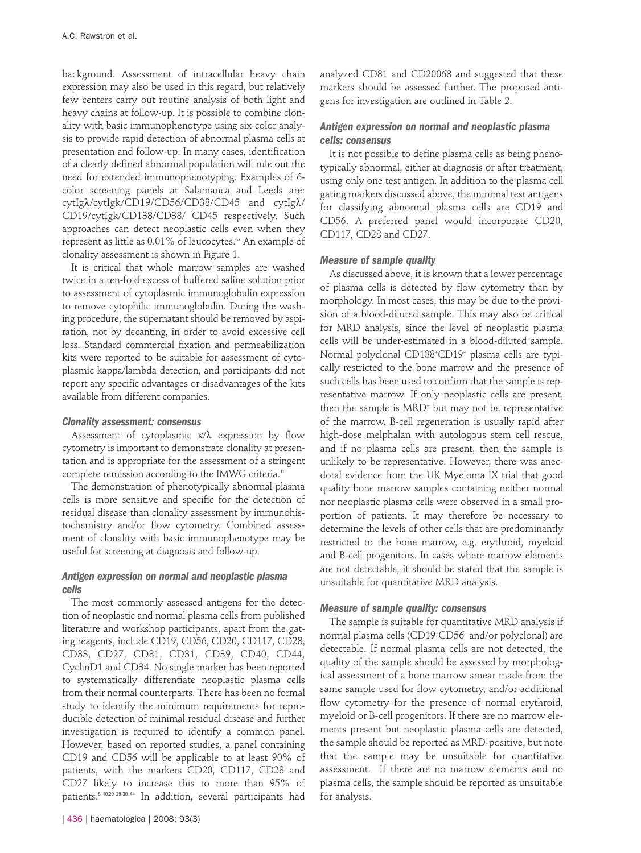background. Assessment of intracellular heavy chain expression may also be used in this regard, but relatively few centers carry out routine analysis of both light and heavy chains at follow-up. It is possible to combine clonality with basic immunophenotype using six-color analysis to provide rapid detection of abnormal plasma cells at presentation and follow-up. In many cases, identification of a clearly defined abnormal population will rule out the need for extended immunophenotyping. Examples of 6 color screening panels at Salamanca and Leeds are: cytIgλ/cytIgk/CD19/CD56/CD38/CD45 and cytIgλ/ CD19/cytIgk/CD138/CD38/ CD45 respectively. Such approaches can detect neoplastic cells even when they represent as little as 0.01% of leucocytes.<sup>67</sup> An example of clonality assessment is shown in Figure 1.

It is critical that whole marrow samples are washed twice in a ten-fold excess of buffered saline solution prior to assessment of cytoplasmic immunoglobulin expression to remove cytophilic immunoglobulin. During the washing procedure, the supernatant should be removed by aspiration, not by decanting, in order to avoid excessive cell loss. Standard commercial fixation and permeabilization kits were reported to be suitable for assessment of cytoplasmic kappa/lambda detection, and participants did not report any specific advantages or disadvantages of the kits available from different companies.

# *Clonality assessment: consensus*

Assessment of cytoplasmic κ/λ expression by flow cytometry is important to demonstrate clonality at presentation and is appropriate for the assessment of a stringent complete remission according to the IMWG criteria.<sup>11</sup>

The demonstration of phenotypically abnormal plasma cells is more sensitive and specific for the detection of residual disease than clonality assessment by immunohistochemistry and/or flow cytometry. Combined assessment of clonality with basic immunophenotype may be useful for screening at diagnosis and follow-up.

# *Antigen expression on normal and neoplastic plasma cells*

The most commonly assessed antigens for the detection of neoplastic and normal plasma cells from published literature and workshop participants, apart from the gating reagents, include CD19, CD56, CD20, CD117, CD28, CD33, CD27, CD81, CD31, CD39, CD40, CD44, CyclinD1 and CD34. No single marker has been reported to systematically differentiate neoplastic plasma cells from their normal counterparts. There has been no formal study to identify the minimum requirements for reproducible detection of minimal residual disease and further investigation is required to identify a common panel. However, based on reported studies, a panel containing CD19 and CD56 will be applicable to at least 90% of patients, with the markers CD20, CD117, CD28 and CD27 likely to increase this to more than 95% of patients.5-10,20-29;30-44 In addition, several participants had

analyzed CD81 and CD20068 and suggested that these markers should be assessed further. The proposed antigens for investigation are outlined in Table 2.

# *Antigen expression on normal and neoplastic plasma cells: consensus*

It is not possible to define plasma cells as being phenotypically abnormal, either at diagnosis or after treatment, using only one test antigen. In addition to the plasma cell gating markers discussed above, the minimal test antigens for classifying abnormal plasma cells are CD19 and CD56. A preferred panel would incorporate CD20, CD117, CD28 and CD27.

# *Measure of sample quality*

As discussed above, it is known that a lower percentage of plasma cells is detected by flow cytometry than by morphology. In most cases, this may be due to the provision of a blood-diluted sample. This may also be critical for MRD analysis, since the level of neoplastic plasma cells will be under-estimated in a blood-diluted sample. Normal polyclonal CD138+ CD19+ plasma cells are typically restricted to the bone marrow and the presence of such cells has been used to confirm that the sample is representative marrow. If only neoplastic cells are present, then the sample is MRD<sup>+</sup> but may not be representative of the marrow. B-cell regeneration is usually rapid after high-dose melphalan with autologous stem cell rescue, and if no plasma cells are present, then the sample is unlikely to be representative. However, there was anecdotal evidence from the UK Myeloma IX trial that good quality bone marrow samples containing neither normal nor neoplastic plasma cells were observed in a small proportion of patients. It may therefore be necessary to determine the levels of other cells that are predominantly restricted to the bone marrow, e.g. erythroid, myeloid and B-cell progenitors. In cases where marrow elements are not detectable, it should be stated that the sample is unsuitable for quantitative MRD analysis.

# *Measure of sample quality: consensus*

The sample is suitable for quantitative MRD analysis if normal plasma cells (CD19+ CD56– and/or polyclonal) are detectable. If normal plasma cells are not detected, the quality of the sample should be assessed by morphological assessment of a bone marrow smear made from the same sample used for flow cytometry, and/or additional flow cytometry for the presence of normal erythroid, myeloid or B-cell progenitors. If there are no marrow elements present but neoplastic plasma cells are detected, the sample should be reported as MRD-positive, but note that the sample may be unsuitable for quantitative assessment. If there are no marrow elements and no plasma cells, the sample should be reported as unsuitable for analysis.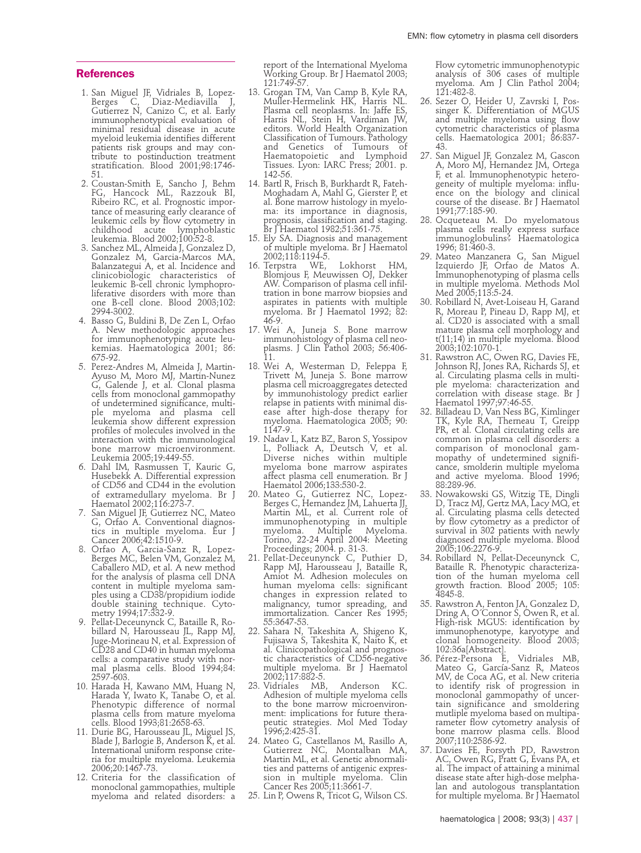#### **References**

- 1. San Miguel JF, Vidriales B, Lopez-Berges C, Diaz-Mediavilla J, Berges C, Diaz-Mediavilla J,<br>Gutierrez N, Canizo C, et al. Early immunophenotypical evaluation of minimal residual disease in acute myeloid leukemia identifies different patients risk groups and may contribute to postinduction treatment stratification. Blood 2001;98:1746- 51.
- 2. Coustan-Smith E, Sancho J, Behm FG, Hancock ML, Razzouk BI, Ribeiro RC, et al. Prognostic importance of measuring early clearance of leukemic cells by flow cytometry in childhood acute lymphoblastic leukemia. Blood 2002;100:52-8.
- 3. Sanchez ML, Almeida J, Gonzalez D, Gonzalez M, Garcia-Marcos MA, Balanzategui A, et al. Incidence and clinicobiologic characteristics of leukemic B-cell chronic lymphoproliferative disorders with more than one B-cell clone. Blood 2003;102: 2994-3002.
- 4. Basso G, Buldini B, De Zen L, Orfao A. New methodologic approaches for immunophenotyping acute leukemias. Haematologica 2001; 86: 675-92.
- 5. Perez-Andres M, Almeida J, Martin-Ayuso M, Moro MJ, Martin-Nunez G, Galende J, et al. Clonal plasma cells from monoclonal gammopathy of undetermined significance, multiple myeloma and plasma cell leukemia show different expression profiles of molecules involved in the interaction with the immunological bone marrow microenvironment. Leukemia 2005;19:449-55.
- 6. Dahl IM, Rasmussen T, Kauric G, Husebekk A. Differential expression of CD56 and CD44 in the evolution of extramedullary myeloma. Br J Haematol 2002;116:273-7.
- 7. San Miguel JF, Gutierrez NC, Mateo G, Orfao A. Conventional diagnostics in multiple myeloma. Eur J Cancer 2006;42:1510-9.
- 8. Orfao A, Garcia-Sanz R, Lopez-Berges MC, Belen VM, Gonzalez M, Caballero MD, et al. A new method for the analysis of plasma cell DNA content in multiple myeloma samples using a CD38/propidium iodide double staining technique. Cytometry 1994;17:332-9.
- 9. Pellat-Deceunynck C, Bataille R, Robillard N, Harousseau JL, Rapp MJ, Juge-Morineau N, et al. Expression of CD28 and CD40 in human myeloma cells: a comparative study with normal plasma cells. Blood 1994;84: 2597-603.
- 10. Harada H, Kawano MM, Huang N, Harada Y, Iwato K, Tanabe O, et al. Phenotypic difference of normal plasma cells from mature myeloma cells. Blood 1993;81:2658-63.
- 11. Durie BG, Harousseau JL, Miguel JS, Blade J, Barlogie B, Anderson K, et al. ria for multiple myeloma. Leukemia 2006;20:1467-73.
- 12. Criteria for the classification of monoclonal gammopathies, multiple myeloma and related disorders: a

report of the International Myeloma Working Group. Br J Haematol 2003; 121:749-57.

- 13. Grogan TM, Van Camp B, Kyle RA, Muller-Hermelink HK, Harris NL. Plasma cell neoplasms. In: Jaffe ES, Harris NL, Stein H, Vardiman JW, editors. World Health Organization Classification of Tumours. Pathology and Genetics of Tumours of Haematopoietic and Lymphoid Tissues. Lyon: IARC Press; 2001. p. 142-56.
- 14. Bartl R, Frisch B, Burkhardt R, Fateh-Moghadam A, Mahl G, Gierster P, et al. Bone marrow histology in myeloma: its importance in diagnosis, prognosis, classification and staging. Br J Haematol 1982;51:361-75.
- 15. Ely SA. Diagnosis and management of multiple myeloma. Br J Haematol 2002;118:1194-5.
- 16. Terpstra WE, Lokhorst HM, Blomjous F, Meuwissen OJ, Dekker AW. Comparison of plasma cell infiltration in bone marrow biopsies and aspirates in patients with multiple myeloma. Br J Haematol 1992; 82: 46-9.
- 17. Wei A, Juneja S. Bone marrow immunohistology of plasma cell neoplasms. J Clin Pathol 2003; 56:406- 11.
- 18. Wei A, Westerman D, Feleppa F, Trivett M, Juneja S. Bone marrow plasma cell microaggregates detected by immunohistology predict earlier relapse in patients with minimal disease after high-dose therapy for myeloma. Haematologica 2005; 90: 1147-9.
- 19. Nadav L, Katz BZ, Baron S, Yossipov L, Polliack A, Deutsch V, et al. Diverse niches within multiple myeloma bone marrow aspirates affect plasma cell enumeration. Br J Haematol 2006;133:530-2.
- 20. Mateo G, Gutierrez NC, Lopez-Berges C, Hernandez JM, Lahuerta JJ, Martin ML, et al. Current role of immunophenotyping in multiple myeloma. Multiple Myeloma. Torino, 22-24 April 2004: Meeting Proceedings; 2004. p. 31-3.
- 21. Pellat-Deceunynck C, Puthier D, Rapp MJ, Harousseau J, Bataille R, Amiot M. Adhesion molecules on human myeloma cells: significant changes in expression related to malignancy, tumor spreading, and immortalization. Cancer Res 1995; 55:3647-53.
- 22. Sahara N, Takeshita A, Shigeno K, Fujisawa S, Takeshita K, Naito K, et al. Clinicopathological and prognostic characteristics of CD56-negative multiple myeloma. Br J Haematol 2002;117:882-5.
- 23. Vidriales MB, Anderson KC. Adhesion of multiple myeloma cells to the bone marrow microenvironment: implications for future therapeutic strategies. Mol Med Today 1996;2:425-31.
- 24. Mateo G, Castellanos M, Rasillo A, Gutierrez NC, Montalban MA, Martin ML, et al. Genetic abnormalities and patterns of antigenic expres- sion in multiple myeloma. Clin Cancer Res 2005;11:3661-7.
- 25. Lin P, Owens R, Tricot G, Wilson CS.

Flow cytometric immunophenotypic analysis of 306 cases of multiple myeloma. Am J Clin Pathol 2004; 121:482-8.

- 26. Sezer O, Heider U, Zavrski I, Possinger K. Differentiation of MGUS and multiple myeloma using flow cytometric characteristics of plasma cells. Haematologica 2001; 86:837- 43.
- 27. San Miguel JF, Gonzalez M, Gascon A, Moro MJ, Hernandez JM, Ortega F, et al. Immunophenotypic heterogeneity of multiple myeloma: influence on the biology and clinical course of the disease. Br J Haematol 1991;77:185-90.
- 28. Ocqueteau M. Do myelomatous plasma cells really express surface immunoglobulins? Haematologica 1996; 81:460-3.
- 29. Mateo Manzanera G, San Miguel Izquierdo JF, Orfao de Matos A. Immunophenotyping of plasma cells in multiple myeloma. Methods Mol Med 2005;113:5-24.
- 30. Robillard N, Avet-Loiseau H, Garand R, Moreau P, Pineau D, Rapp MJ, et al. CD20 is associated with a small mature plasma cell morphology and t(11;14) in multiple myeloma. Blood 2003;102:1070-1.
- 31. Rawstron AC, Owen RG, Davies FE, Johnson RJ, Jones RA, Richards SJ, et al. Circulating plasma cells in multiple myeloma: characterization and correlation with disease stage. Br J Haematol 1997;97:46-55.
- 32. Billadeau D, Van Ness BG, Kimlinger TK, Kyle RA, Therneau T, Greipp PR, et al. Clonal circulating cells are common in plasma cell disorders: a comparison of monoclonal gammopathy of undetermined significance, smolderin multiple myeloma and active myeloma. Blood 1996; 88:289-96.
- 33. Nowakowski GS, Witzig TE, Dingli D, Tracz MJ, Gertz MA, Lacy MQ, et al. Circulating plasma cells detected by flow cytometry as a predictor of survival in 302 patients with newly diagnosed multiple myeloma. Blood 2005;106:2276-9.
- 34. Robillard N, Pellat-Deceunynck C, Bataille R. Phenotypic characterization of the human myeloma cell growth fraction. Blood 2005; 105: 4845-8.
- 35. Rawstron A, Fenton JA, Gonzalez D, Dring A, O´Connor S, Owen R, et al. High-risk MGUS: identification by immunophenotype, karyotype and clonal homogeneity. Blood 2003; 102:36a[Abstract].
- 36. Pérez-Persona E, Vidriales MB, Mateo G, García-Sanz R, Mateos MV, de Coca AG, et al. New criteria to identify risk of progression in monoclonal gammopathy of uncertain significance and smoldering mutliple myeloma based on multiparameter flow cytometry analysis of bone marrow plasma cells. Blood 2007;110:2586-92.
- 37. Davies FE, Forsyth PD, Rawstron AC, Owen RG, Pratt G, Evans PA, et al. The impact of attaining a minimal disease state after high-dose melphalan and autologous transplantation for multiple myeloma. Br J Haematol